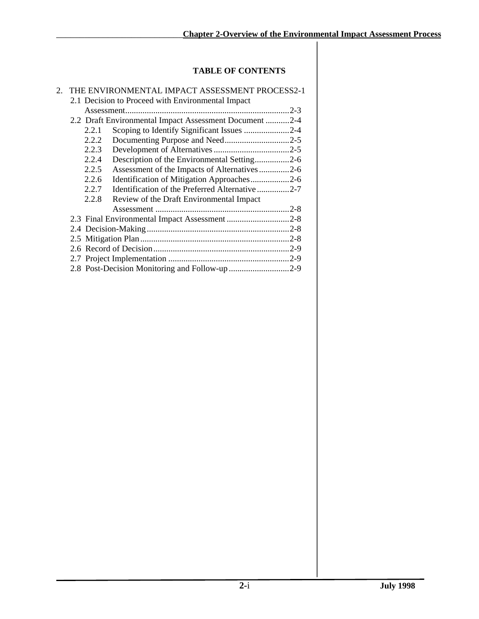# **TABLE OF CONTENTS**

| 2. | THE ENVIRONMENTAL IMPACT ASSESSMENT PROCESS2-1          |  |
|----|---------------------------------------------------------|--|
|    | 2.1 Decision to Proceed with Environmental Impact       |  |
|    |                                                         |  |
|    | 2.2 Draft Environmental Impact Assessment Document 2-4  |  |
|    | Scoping to Identify Significant Issues 2-4<br>2.2.1     |  |
|    | 2.2.2                                                   |  |
|    | 2.2.3                                                   |  |
|    | 2.2.4<br>Description of the Environmental Setting2-6    |  |
|    | 2.2.5<br>Assessment of the Impacts of Alternatives2-6   |  |
|    | Identification of Mitigation Approaches2-6<br>2.2.6     |  |
|    | Identification of the Preferred Alternative2-7<br>2.2.7 |  |
|    | 2.2.8<br>Review of the Draft Environmental Impact       |  |
|    |                                                         |  |
|    |                                                         |  |
|    |                                                         |  |
|    |                                                         |  |
|    |                                                         |  |
|    |                                                         |  |
|    |                                                         |  |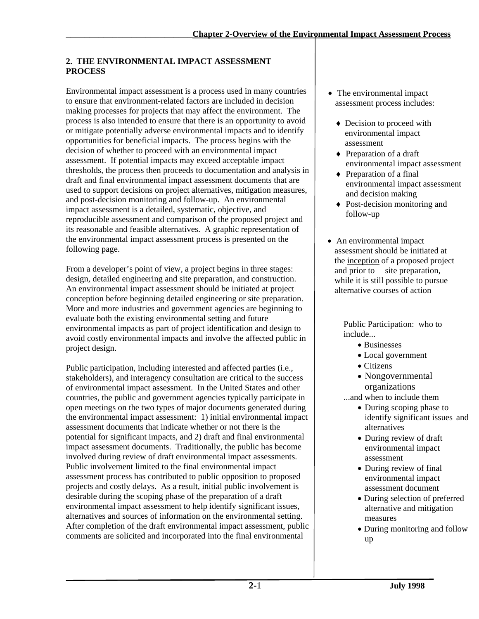# **2. THE ENVIRONMENTAL IMPACT ASSESSMENT PROCESS**

Environmental impact assessment is a process used in many countries to ensure that environment-related factors are included in decision making processes for projects that may affect the environment. The process is also intended to ensure that there is an opportunity to avoid or mitigate potentially adverse environmental impacts and to identify opportunities for beneficial impacts. The process begins with the decision of whether to proceed with an environmental impact assessment. If potential impacts may exceed acceptable impact thresholds, the process then proceeds to documentation and analysis in draft and final environmental impact assessment documents that are used to support decisions on project alternatives, mitigation measures, and post-decision monitoring and follow-up. An environmental impact assessment is a detailed, systematic, objective, and reproducible assessment and comparison of the proposed project and its reasonable and feasible alternatives. A graphic representation of the environmental impact assessment process is presented on the following page.

From a developer's point of view, a project begins in three stages: design, detailed engineering and site preparation, and construction. An environmental impact assessment should be initiated at project conception before beginning detailed engineering or site preparation. More and more industries and government agencies are beginning to evaluate both the existing environmental setting and future environmental impacts as part of project identification and design to avoid costly environmental impacts and involve the affected public in project design.

Public participation, including interested and affected parties (i.e., stakeholders), and interagency consultation are critical to the success of environmental impact assessment. In the United States and other countries, the public and government agencies typically participate in open meetings on the two types of major documents generated during the environmental impact assessment: 1) initial environmental impact assessment documents that indicate whether or not there is the potential for significant impacts, and 2) draft and final environmental impact assessment documents. Traditionally, the public has become involved during review of draft environmental impact assessments. Public involvement limited to the final environmental impact assessment process has contributed to public opposition to proposed projects and costly delays. As a result, initial public involvement is desirable during the scoping phase of the preparation of a draft environmental impact assessment to help identify significant issues, alternatives and sources of information on the environmental setting. After completion of the draft environmental impact assessment, public comments are solicited and incorporated into the final environmental

- The environmental impact assessment process includes:
	- Decision to proceed with environmental impact assessment
	- ♦ Preparation of a draft environmental impact assessment
	- ♦ Preparation of a final environmental impact assessment and decision making
	- ♦ Post-decision monitoring and follow-up
- An environmental impact assessment should be initiated at the inception of a proposed project and prior to site preparation, while it is still possible to pursue alternative courses of action

Public Participation: who to include...

- Businesses
- Local government
- Citizens
- Nongovernmental organizations

...and when to include them

- During scoping phase to identify significant issues and alternatives
- During review of draft environmental impact assessment
- During review of final environmental impact assessment document
- During selection of preferred alternative and mitigation measures
- During monitoring and follow up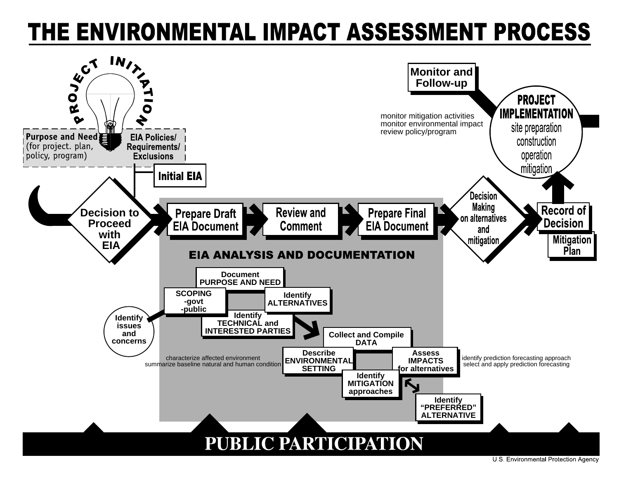# THE ENVIRONMENTAL IMPACT ASSESSMENT PROCESS

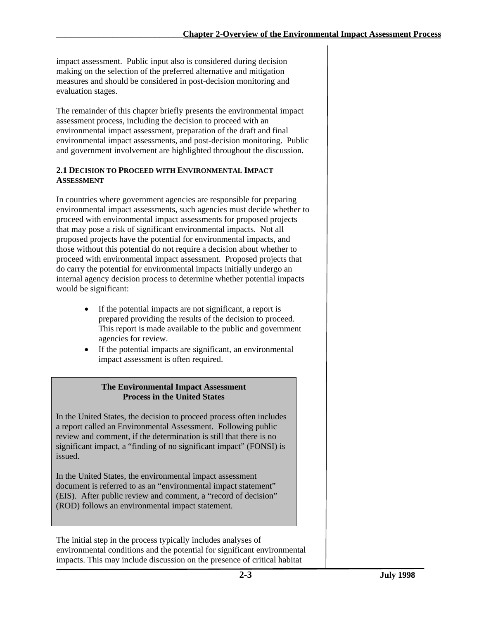impact assessment. Public input also is considered during decision making on the selection of the preferred alternative and mitigation measures and should be considered in post-decision monitoring and evaluation stages.

The remainder of this chapter briefly presents the environmental impact assessment process, including the decision to proceed with an environmental impact assessment, preparation of the draft and final environmental impact assessments, and post-decision monitoring. Public and government involvement are highlighted throughout the discussion.

## **2.1 DECISION TO PROCEED WITH ENVIRONMENTAL IMPACT ASSESSMENT**

In countries where government agencies are responsible for preparing environmental impact assessments, such agencies must decide whether to proceed with environmental impact assessments for proposed projects that may pose a risk of significant environmental impacts. Not all proposed projects have the potential for environmental impacts, and those without this potential do not require a decision about whether to proceed with environmental impact assessment. Proposed projects that do carry the potential for environmental impacts initially undergo an internal agency decision process to determine whether potential impacts would be significant:

- If the potential impacts are not significant, a report is prepared providing the results of the decision to proceed. This report is made available to the public and government agencies for review.
- If the potential impacts are significant, an environmental impact assessment is often required.

# **The Environmental Impact Assessment Process in the United States**

In the United States, the decision to proceed process often includes a report called an Environmental Assessment. Following public review and comment, if the determination is still that there is no significant impact, a "finding of no significant impact" (FONSI) is issued.

In the United States, the environmental impact assessment document is referred to as an "environmental impact statement" (EIS). After public review and comment, a "record of decision" (ROD) follows an environmental impact statement.

The initial step in the process typically includes analyses of environmental conditions and the potential for significant environmental impacts. This may include discussion on the presence of critical habitat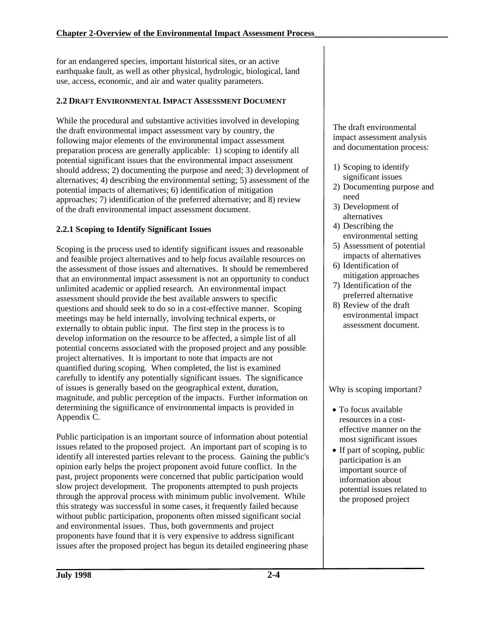for an endangered species, important historical sites, or an active earthquake fault, as well as other physical, hydrologic, biological, land use, access, economic, and air and water quality parameters.

# **2.2 DRAFT ENVIRONMENTAL IMPACT ASSESSMENT DOCUMENT**

While the procedural and substantive activities involved in developing the draft environmental impact assessment vary by country, the following major elements of the environmental impact assessment preparation process are generally applicable: 1) scoping to identify all potential significant issues that the environmental impact assessment should address; 2) documenting the purpose and need; 3) development of alternatives; 4) describing the environmental setting; 5) assessment of the potential impacts of alternatives; 6) identification of mitigation approaches; 7) identification of the preferred alternative; and 8) review of the draft environmental impact assessment document.

# **2.2.1 Scoping to Identify Significant Issues**

Scoping is the process used to identify significant issues and reasonable and feasible project alternatives and to help focus available resources on the assessment of those issues and alternatives. It should be remembered that an environmental impact assessment is not an opportunity to conduct unlimited academic or applied research. An environmental impact assessment should provide the best available answers to specific questions and should seek to do so in a cost-effective manner. Scoping meetings may be held internally, involving technical experts, or externally to obtain public input. The first step in the process is to develop information on the resource to be affected, a simple list of all potential concerns associated with the proposed project and any possible project alternatives. It is important to note that impacts are not quantified during scoping. When completed, the list is examined carefully to identify any potentially significant issues. The significance of issues is generally based on the geographical extent, duration, magnitude, and public perception of the impacts. Further information on determining the significance of environmental impacts is provided in Appendix C.

Public participation is an important source of information about potential issues related to the proposed project. An important part of scoping is to identify all interested parties relevant to the process. Gaining the public's opinion early helps the project proponent avoid future conflict. In the past, project proponents were concerned that public participation would slow project development. The proponents attempted to push projects through the approval process with minimum public involvement. While this strategy was successful in some cases, it frequently failed because without public participation, proponents often missed significant social and environmental issues. Thus, both governments and project proponents have found that it is very expensive to address significant issues after the proposed project has begun its detailed engineering phase

The draft environmental impact assessment analysis and documentation process:

- 1) Scoping to identify significant issues
- 2) Documenting purpose and need
- 3) Development of alternatives
- 4) Describing the environmental setting
- 5) Assessment of potential impacts of alternatives
- 6) Identification of mitigation approaches
- 7) Identification of the preferred alternative
- 8) Review of the draft environmental impact assessment document.

Why is scoping important?

- To focus available resources in a costeffective manner on the most significant issues
- If part of scoping, public participation is an important source of information about potential issues related to the proposed project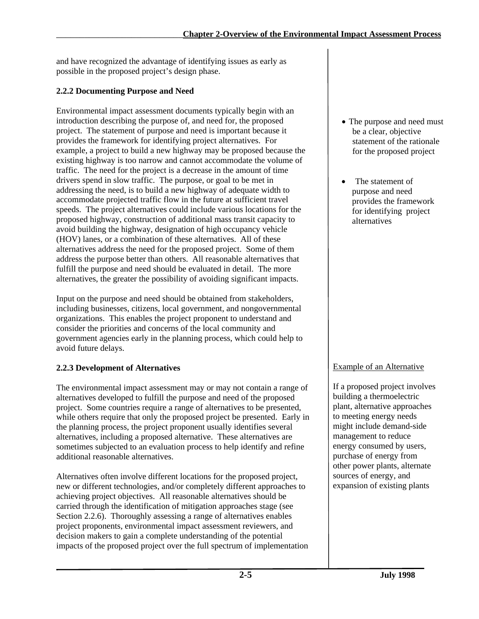and have recognized the advantage of identifying issues as early as possible in the proposed project's design phase.

# **2.2.2 Documenting Purpose and Need**

Environmental impact assessment documents typically begin with an introduction describing the purpose of, and need for, the proposed project. The statement of purpose and need is important because it provides the framework for identifying project alternatives. For example, a project to build a new highway may be proposed because the existing highway is too narrow and cannot accommodate the volume of traffic. The need for the project is a decrease in the amount of time drivers spend in slow traffic. The purpose, or goal to be met in addressing the need, is to build a new highway of adequate width to accommodate projected traffic flow in the future at sufficient travel speeds. The project alternatives could include various locations for the proposed highway, construction of additional mass transit capacity to avoid building the highway, designation of high occupancy vehicle (HOV) lanes, or a combination of these alternatives. All of these alternatives address the need for the proposed project. Some of them address the purpose better than others. All reasonable alternatives that fulfill the purpose and need should be evaluated in detail. The more alternatives, the greater the possibility of avoiding significant impacts.

Input on the purpose and need should be obtained from stakeholders, including businesses, citizens, local government, and nongovernmental organizations. This enables the project proponent to understand and consider the priorities and concerns of the local community and government agencies early in the planning process, which could help to avoid future delays.

# **2.2.3 Development of Alternatives**

The environmental impact assessment may or may not contain a range of alternatives developed to fulfill the purpose and need of the proposed project. Some countries require a range of alternatives to be presented, while others require that only the proposed project be presented. Early in the planning process, the project proponent usually identifies several alternatives, including a proposed alternative. These alternatives are sometimes subjected to an evaluation process to help identify and refine additional reasonable alternatives.

Alternatives often involve different locations for the proposed project, new or different technologies, and/or completely different approaches to achieving project objectives. All reasonable alternatives should be carried through the identification of mitigation approaches stage (see Section 2.2.6). Thoroughly assessing a range of alternatives enables project proponents, environmental impact assessment reviewers, and decision makers to gain a complete understanding of the potential impacts of the proposed project over the full spectrum of implementation

- The purpose and need must be a clear, objective statement of the rationale for the proposed project
- The statement of purpose and need provides the framework for identifying project alternatives

# Example of an Alternative

If a proposed project involves building a thermoelectric plant, alternative approaches to meeting energy needs might include demand-side management to reduce energy consumed by users, purchase of energy from other power plants, alternate sources of energy, and expansion of existing plants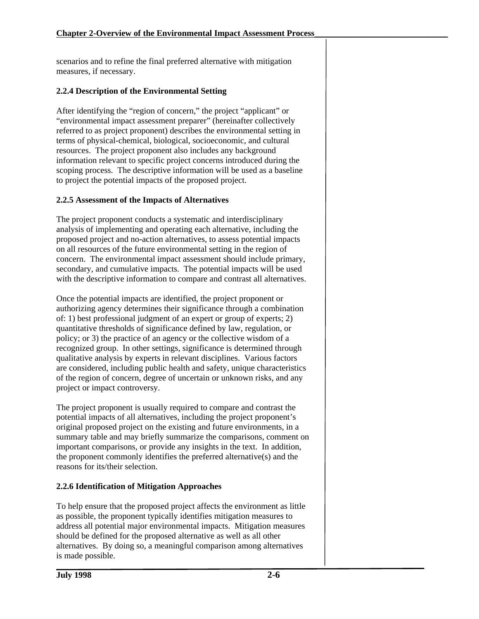scenarios and to refine the final preferred alternative with mitigation measures, if necessary.

# **2.2.4 Description of the Environmental Setting**

After identifying the "region of concern," the project "applicant" or "environmental impact assessment preparer" (hereinafter collectively referred to as project proponent) describes the environmental setting in terms of physical-chemical, biological, socioeconomic, and cultural resources. The project proponent also includes any background information relevant to specific project concerns introduced during the scoping process. The descriptive information will be used as a baseline to project the potential impacts of the proposed project.

# **2.2.5 Assessment of the Impacts of Alternatives**

The project proponent conducts a systematic and interdisciplinary analysis of implementing and operating each alternative, including the proposed project and no-action alternatives, to assess potential impacts on all resources of the future environmental setting in the region of concern. The environmental impact assessment should include primary, secondary, and cumulative impacts. The potential impacts will be used with the descriptive information to compare and contrast all alternatives.

Once the potential impacts are identified, the project proponent or authorizing agency determines their significance through a combination of: 1) best professional judgment of an expert or group of experts; 2) quantitative thresholds of significance defined by law, regulation, or policy; or 3) the practice of an agency or the collective wisdom of a recognized group. In other settings, significance is determined through qualitative analysis by experts in relevant disciplines. Various factors are considered, including public health and safety, unique characteristics of the region of concern, degree of uncertain or unknown risks, and any project or impact controversy.

The project proponent is usually required to compare and contrast the potential impacts of all alternatives, including the project proponent's original proposed project on the existing and future environments, in a summary table and may briefly summarize the comparisons, comment on important comparisons, or provide any insights in the text. In addition, the proponent commonly identifies the preferred alternative(s) and the reasons for its/their selection.

# **2.2.6 Identification of Mitigation Approaches**

To help ensure that the proposed project affects the environment as little as possible, the proponent typically identifies mitigation measures to address all potential major environmental impacts. Mitigation measures should be defined for the proposed alternative as well as all other alternatives. By doing so, a meaningful comparison among alternatives is made possible.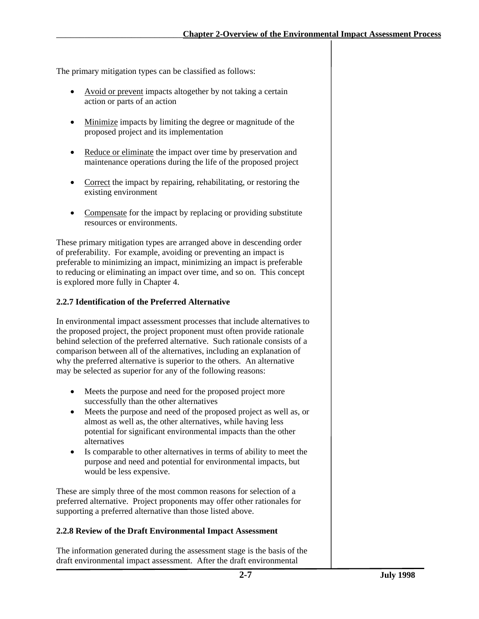The primary mitigation types can be classified as follows:

- Avoid or prevent impacts altogether by not taking a certain action or parts of an action
- Minimize impacts by limiting the degree or magnitude of the proposed project and its implementation
- Reduce or eliminate the impact over time by preservation and maintenance operations during the life of the proposed project
- Correct the impact by repairing, rehabilitating, or restoring the existing environment
- Compensate for the impact by replacing or providing substitute resources or environments.

These primary mitigation types are arranged above in descending order of preferability. For example, avoiding or preventing an impact is preferable to minimizing an impact, minimizing an impact is preferable to reducing or eliminating an impact over time, and so on. This concept is explored more fully in Chapter 4.

#### **2.2.7 Identification of the Preferred Alternative**

In environmental impact assessment processes that include alternatives to the proposed project, the project proponent must often provide rationale behind selection of the preferred alternative. Such rationale consists of a comparison between all of the alternatives, including an explanation of why the preferred alternative is superior to the others. An alternative may be selected as superior for any of the following reasons:

- Meets the purpose and need for the proposed project more successfully than the other alternatives
- Meets the purpose and need of the proposed project as well as, or almost as well as, the other alternatives, while having less potential for significant environmental impacts than the other alternatives
- Is comparable to other alternatives in terms of ability to meet the purpose and need and potential for environmental impacts, but would be less expensive.

These are simply three of the most common reasons for selection of a preferred alternative. Project proponents may offer other rationales for supporting a preferred alternative than those listed above.

## **2.2.8 Review of the Draft Environmental Impact Assessment**

The information generated during the assessment stage is the basis of the draft environmental impact assessment. After the draft environmental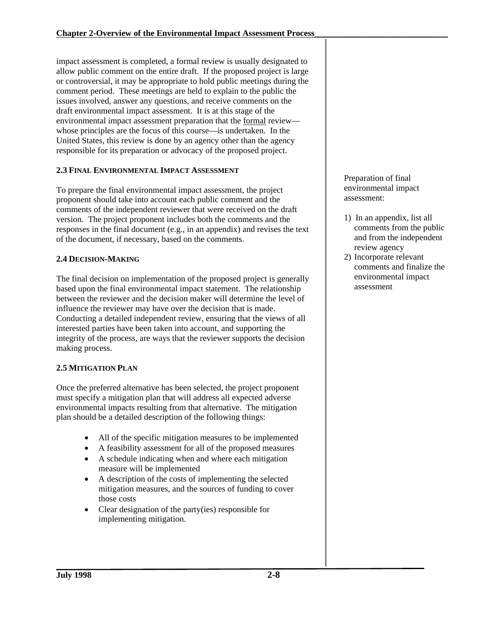impact assessment is completed, a formal review is usually designated to allow public comment on the entire draft. If the proposed project is large or controversial, it may be appropriate to hold public meetings during the comment period. These meetings are held to explain to the public the issues involved, answer any questions, and receive comments on the draft environmental impact assessment. It is at this stage of the environmental impact assessment preparation that the formal review whose principles are the focus of this course—is undertaken. In the United States, this review is done by an agency other than the agency responsible for its preparation or advocacy of the proposed project.

## **2.3 FINAL ENVIRONMENTAL IMPACT ASSESSMENT**

To prepare the final environmental impact assessment, the project proponent should take into account each public comment and the comments of the independent reviewer that were received on the draft version. The project proponent includes both the comments and the responses in the final document (e.g., in an appendix) and revises the text of the document, if necessary, based on the comments.

#### **2.4 DECISION-MAKING**

The final decision on implementation of the proposed project is generally based upon the final environmental impact statement. The relationship between the reviewer and the decision maker will determine the level of influence the reviewer may have over the decision that is made. Conducting a detailed independent review, ensuring that the views of all interested parties have been taken into account, and supporting the integrity of the process, are ways that the reviewer supports the decision making process.

## **2.5 MITIGATION PLAN**

Once the preferred alternative has been selected, the project proponent must specify a mitigation plan that will address all expected adverse environmental impacts resulting from that alternative. The mitigation plan should be a detailed description of the following things:

- All of the specific mitigation measures to be implemented
- A feasibility assessment for all of the proposed measures
- A schedule indicating when and where each mitigation measure will be implemented
- A description of the costs of implementing the selected mitigation measures, and the sources of funding to cover those costs
- Clear designation of the party(ies) responsible for implementing mitigation.

Preparation of final environmental impact assessment:

- 1) In an appendix, list all comments from the public and from the independent review agency
- 2) Incorporate relevant comments and finalize the environmental impact assessment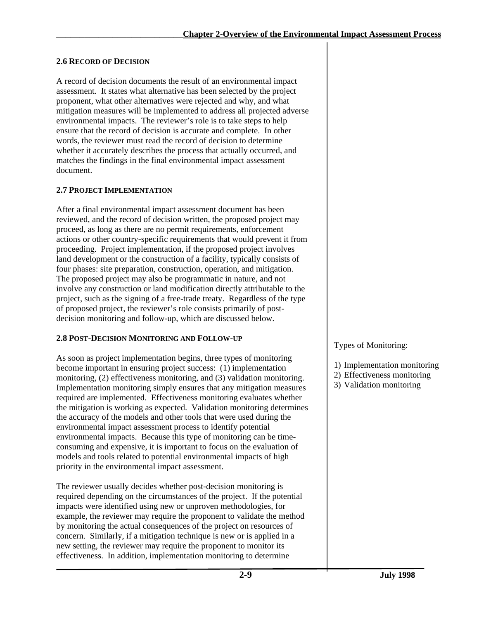#### **2.6 RECORD OF DECISION**

A record of decision documents the result of an environmental impact assessment. It states what alternative has been selected by the project proponent, what other alternatives were rejected and why, and what mitigation measures will be implemented to address all projected adverse environmental impacts. The reviewer's role is to take steps to help ensure that the record of decision is accurate and complete. In other words, the reviewer must read the record of decision to determine whether it accurately describes the process that actually occurred, and matches the findings in the final environmental impact assessment document.

#### **2.7 PROJECT IMPLEMENTATION**

After a final environmental impact assessment document has been reviewed, and the record of decision written, the proposed project may proceed, as long as there are no permit requirements, enforcement actions or other country-specific requirements that would prevent it from proceeding. Project implementation, if the proposed project involves land development or the construction of a facility, typically consists of four phases: site preparation, construction, operation, and mitigation. The proposed project may also be programmatic in nature, and not involve any construction or land modification directly attributable to the project, such as the signing of a free-trade treaty. Regardless of the type of proposed project, the reviewer's role consists primarily of postdecision monitoring and follow-up, which are discussed below.

## **2.8 POST-DECISION MONITORING AND FOLLOW-UP**

As soon as project implementation begins, three types of monitoring become important in ensuring project success: (1) implementation monitoring, (2) effectiveness monitoring, and (3) validation monitoring. Implementation monitoring simply ensures that any mitigation measures required are implemented. Effectiveness monitoring evaluates whether the mitigation is working as expected. Validation monitoring determines the accuracy of the models and other tools that were used during the environmental impact assessment process to identify potential environmental impacts. Because this type of monitoring can be timeconsuming and expensive, it is important to focus on the evaluation of models and tools related to potential environmental impacts of high priority in the environmental impact assessment.

The reviewer usually decides whether post-decision monitoring is required depending on the circumstances of the project. If the potential impacts were identified using new or unproven methodologies, for example, the reviewer may require the proponent to validate the method by monitoring the actual consequences of the project on resources of concern. Similarly, if a mitigation technique is new or is applied in a new setting, the reviewer may require the proponent to monitor its effectiveness. In addition, implementation monitoring to determine

## Types of Monitoring:

- 1) Implementation monitoring
- 2) Effectiveness monitoring
- 3) Validation monitoring